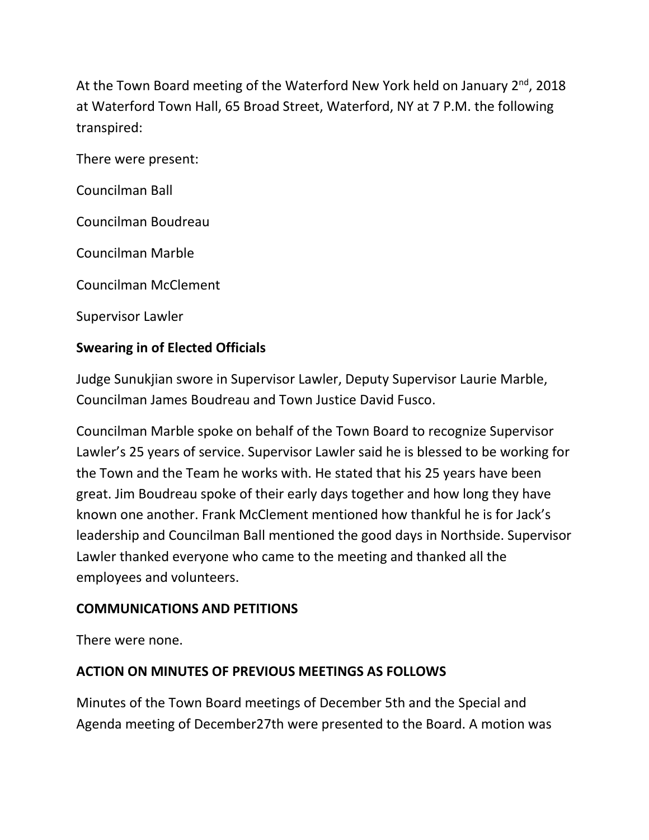At the Town Board meeting of the Waterford New York held on January  $2^{nd}$ , 2018 at Waterford Town Hall, 65 Broad Street, Waterford, NY at 7 P.M. the following transpired:

There were present:

Councilman Ball

Councilman Boudreau

Councilman Marble

Councilman McClement

Supervisor Lawler

#### **Swearing in of Elected Officials**

Judge Sunukjian swore in Supervisor Lawler, Deputy Supervisor Laurie Marble, Councilman James Boudreau and Town Justice David Fusco.

Councilman Marble spoke on behalf of the Town Board to recognize Supervisor Lawler's 25 years of service. Supervisor Lawler said he is blessed to be working for the Town and the Team he works with. He stated that his 25 years have been great. Jim Boudreau spoke of their early days together and how long they have known one another. Frank McClement mentioned how thankful he is for Jack's leadership and Councilman Ball mentioned the good days in Northside. Supervisor Lawler thanked everyone who came to the meeting and thanked all the employees and volunteers.

#### **COMMUNICATIONS AND PETITIONS**

There were none.

### **ACTION ON MINUTES OF PREVIOUS MEETINGS AS FOLLOWS**

Minutes of the Town Board meetings of December 5th and the Special and Agenda meeting of December27th were presented to the Board. A motion was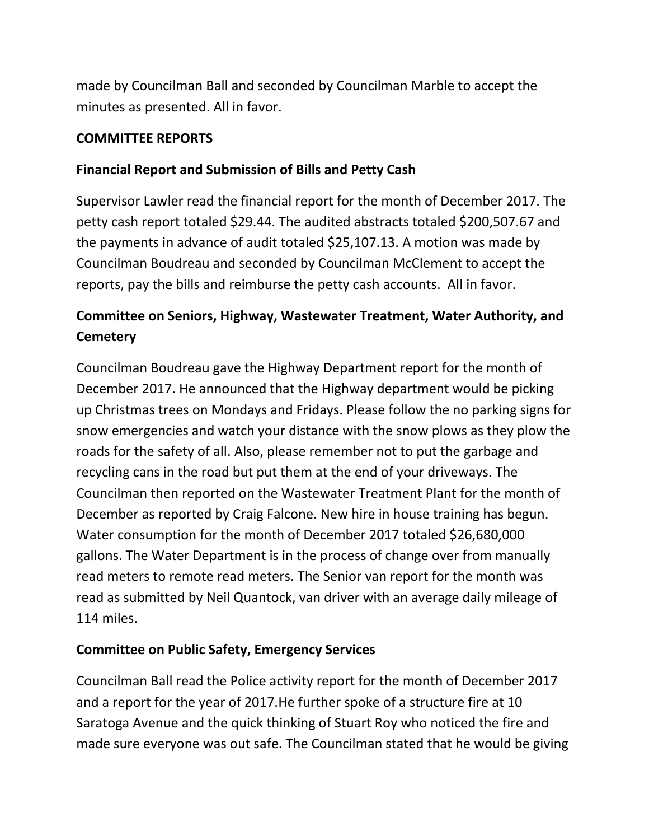made by Councilman Ball and seconded by Councilman Marble to accept the minutes as presented. All in favor.

### **COMMITTEE REPORTS**

## **Financial Report and Submission of Bills and Petty Cash**

Supervisor Lawler read the financial report for the month of December 2017. The petty cash report totaled \$29.44. The audited abstracts totaled \$200,507.67 and the payments in advance of audit totaled \$25,107.13. A motion was made by Councilman Boudreau and seconded by Councilman McClement to accept the reports, pay the bills and reimburse the petty cash accounts. All in favor.

# **Committee on Seniors, Highway, Wastewater Treatment, Water Authority, and Cemetery**

Councilman Boudreau gave the Highway Department report for the month of December 2017. He announced that the Highway department would be picking up Christmas trees on Mondays and Fridays. Please follow the no parking signs for snow emergencies and watch your distance with the snow plows as they plow the roads for the safety of all. Also, please remember not to put the garbage and recycling cans in the road but put them at the end of your driveways. The Councilman then reported on the Wastewater Treatment Plant for the month of December as reported by Craig Falcone. New hire in house training has begun. Water consumption for the month of December 2017 totaled \$26,680,000 gallons. The Water Department is in the process of change over from manually read meters to remote read meters. The Senior van report for the month was read as submitted by Neil Quantock, van driver with an average daily mileage of 114 miles.

### **Committee on Public Safety, Emergency Services**

Councilman Ball read the Police activity report for the month of December 2017 and a report for the year of 2017.He further spoke of a structure fire at 10 Saratoga Avenue and the quick thinking of Stuart Roy who noticed the fire and made sure everyone was out safe. The Councilman stated that he would be giving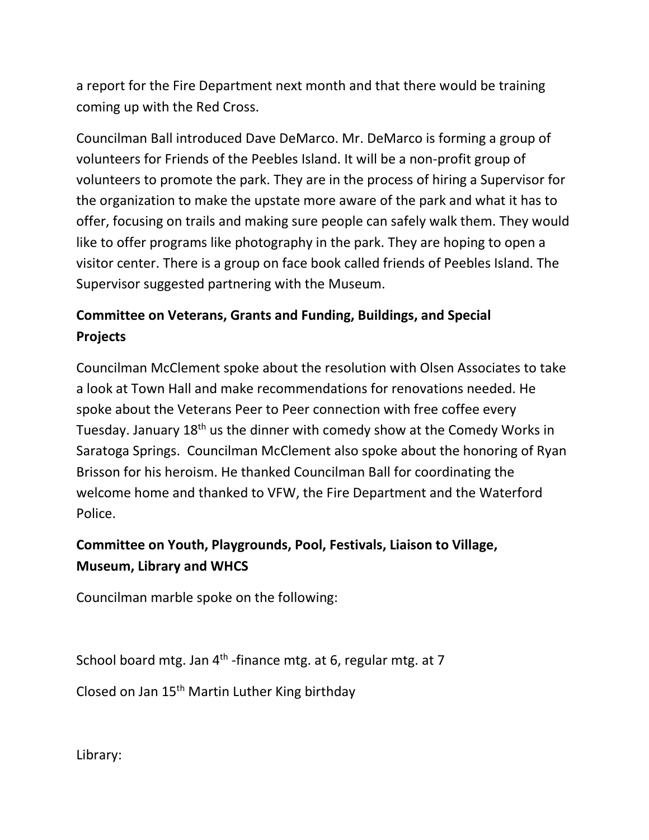a report for the Fire Department next month and that there would be training coming up with the Red Cross.

Councilman Ball introduced Dave DeMarco. Mr. DeMarco is forming a group of volunteers for Friends of the Peebles Island. It will be a non-profit group of volunteers to promote the park. They are in the process of hiring a Supervisor for the organization to make the upstate more aware of the park and what it has to offer, focusing on trails and making sure people can safely walk them. They would like to offer programs like photography in the park. They are hoping to open a visitor center. There is a group on face book called friends of Peebles Island. The Supervisor suggested partnering with the Museum.

# **Committee on Veterans, Grants and Funding, Buildings, and Special Projects**

Councilman McClement spoke about the resolution with Olsen Associates to take a look at Town Hall and make recommendations for renovations needed. He spoke about the Veterans Peer to Peer connection with free coffee every Tuesday. January 18<sup>th</sup> us the dinner with comedy show at the Comedy Works in Saratoga Springs. Councilman McClement also spoke about the honoring of Ryan Brisson for his heroism. He thanked Councilman Ball for coordinating the welcome home and thanked to VFW, the Fire Department and the Waterford Police.

# **Committee on Youth, Playgrounds, Pool, Festivals, Liaison to Village, Museum, Library and WHCS**

Councilman marble spoke on the following:

School board mtg. Jan  $4<sup>th</sup>$ -finance mtg. at 6, regular mtg. at 7

Closed on Jan 15th Martin Luther King birthday

Library: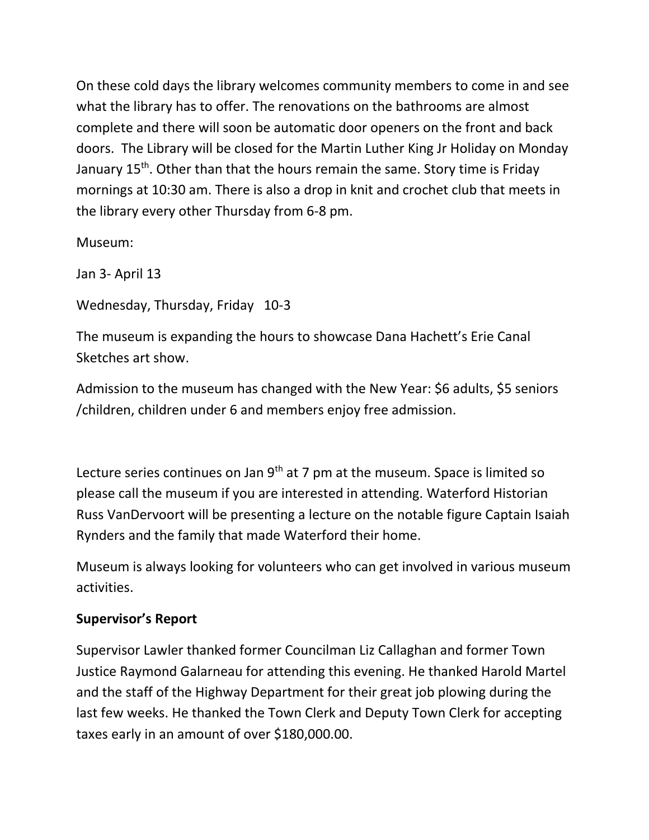On these cold days the library welcomes community members to come in and see what the library has to offer. The renovations on the bathrooms are almost complete and there will soon be automatic door openers on the front and back doors. The Library will be closed for the Martin Luther King Jr Holiday on Monday January 15<sup>th</sup>. Other than that the hours remain the same. Story time is Friday mornings at 10:30 am. There is also a drop in knit and crochet club that meets in the library every other Thursday from 6-8 pm.

Museum:

Jan 3- April 13

Wednesday, Thursday, Friday 10-3

The museum is expanding the hours to showcase Dana Hachett's Erie Canal Sketches art show.

Admission to the museum has changed with the New Year: \$6 adults, \$5 seniors /children, children under 6 and members enjoy free admission.

Lecture series continues on Jan  $9<sup>th</sup>$  at 7 pm at the museum. Space is limited so please call the museum if you are interested in attending. Waterford Historian Russ VanDervoort will be presenting a lecture on the notable figure Captain Isaiah Rynders and the family that made Waterford their home.

Museum is always looking for volunteers who can get involved in various museum activities.

### **Supervisor's Report**

Supervisor Lawler thanked former Councilman Liz Callaghan and former Town Justice Raymond Galarneau for attending this evening. He thanked Harold Martel and the staff of the Highway Department for their great job plowing during the last few weeks. He thanked the Town Clerk and Deputy Town Clerk for accepting taxes early in an amount of over \$180,000.00.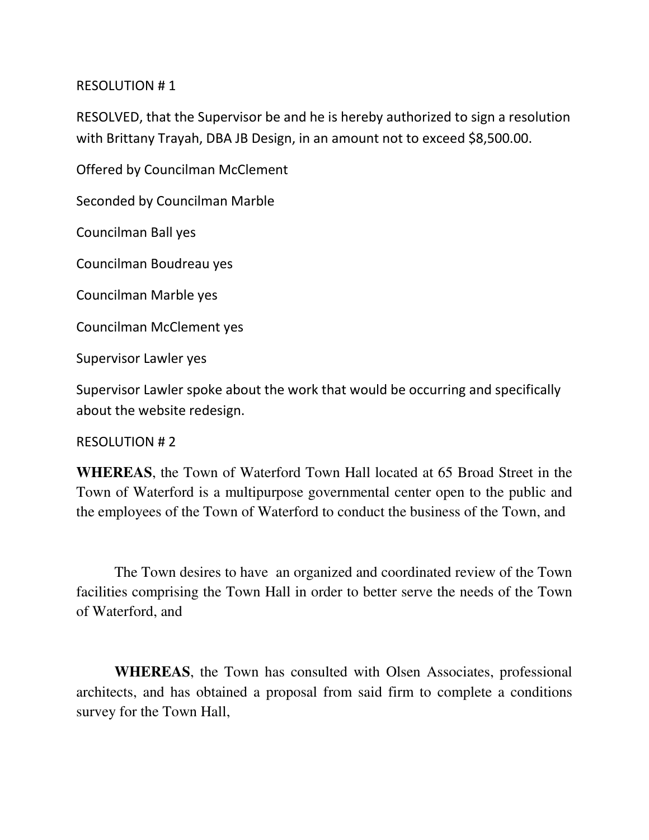#### RESOLUTION # 1

RESOLVED, that the Supervisor be and he is hereby authorized to sign a resolution with Brittany Trayah, DBA JB Design, in an amount not to exceed \$8,500.00.

Offered by Councilman McClement

Seconded by Councilman Marble

Councilman Ball yes

Councilman Boudreau yes

Councilman Marble yes

Councilman McClement yes

Supervisor Lawler yes

Supervisor Lawler spoke about the work that would be occurring and specifically about the website redesign.

#### RESOLUTION # 2

**WHEREAS**, the Town of Waterford Town Hall located at 65 Broad Street in the Town of Waterford is a multipurpose governmental center open to the public and the employees of the Town of Waterford to conduct the business of the Town, and

 The Town desires to have an organized and coordinated review of the Town facilities comprising the Town Hall in order to better serve the needs of the Town of Waterford, and

**WHEREAS**, the Town has consulted with Olsen Associates, professional architects, and has obtained a proposal from said firm to complete a conditions survey for the Town Hall,